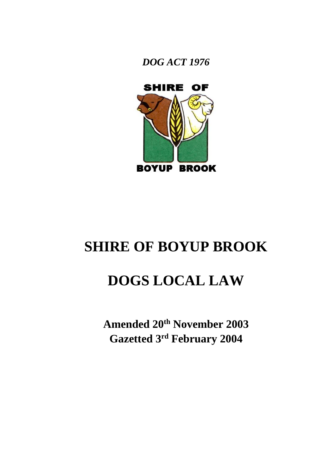



# **SHIRE OF BOYUP BROOK**

# **DOGS LOCAL LAW**

**Amended 20th November 2003 Gazetted 3 rd February 2004**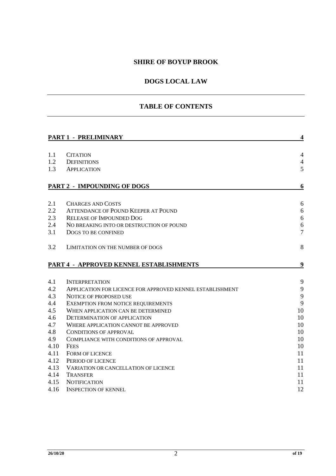## **SHIRE OF BOYUP BROOK**

## **DOGS LOCAL LAW**

## **TABLE OF CONTENTS**

| <b>PART 1 - PRELIMINARY</b> |                                                           |                |
|-----------------------------|-----------------------------------------------------------|----------------|
|                             |                                                           |                |
| 1.1                         | <b>CITATION</b>                                           | $\overline{4}$ |
| 1.2                         | <b>DEFINITIONS</b>                                        | $\overline{4}$ |
| 1.3                         | <b>APPLICATION</b>                                        | 5              |
|                             | PART 2 - IMPOUNDING OF DOGS                               | 6              |
|                             |                                                           |                |
| 2.1                         | <b>CHARGES AND COSTS</b>                                  | 6              |
| 2.2                         | <b>ATTENDANCE OF POUND KEEPER AT POUND</b>                | 6              |
| 2.3                         | <b>RELEASE OF IMPOUNDED DOG</b>                           | 6              |
| 2.4                         | NO BREAKING INTO OR DESTRUCTION OF POUND                  | 6              |
| 3.1                         | DOGS TO BE CONFINED                                       | $\overline{7}$ |
| 3.2                         | LIMITATION ON THE NUMBER OF DOGS                          | 8              |
|                             | PART 4 - APPROVED KENNEL ESTABLISHMENTS                   | 9              |
|                             |                                                           |                |
| 4.1                         | <b>INTERPRETATION</b>                                     | 9              |
| 4.2                         | APPLICATION FOR LICENCE FOR APPROVED KENNEL ESTABLISHMENT | 9              |
| 4.3                         | <b>NOTICE OF PROPOSED USE</b>                             | 9              |
| 4.4                         | EXEMPTION FROM NOTICE REQUIREMENTS                        | 9              |
| 4.5                         | WHEN APPLICATION CAN BE DETERMINED                        | 10             |
| 4.6                         | DETERMINATION OF APPLICATION                              | 10             |
| 4.7                         | WHERE APPLICATION CANNOT BE APPROVED                      | 10             |
| 4.8                         | CONDITIONS OF APPROVAL                                    | 10             |
| 4.9                         | COMPLIANCE WITH CONDITIONS OF APPROVAL                    | 10             |
| 4.10                        | <b>FEES</b>                                               | 10             |
| 4.11                        | <b>FORM OF LICENCE</b>                                    | 11             |
| 4.12                        | PERIOD OF LICENCE                                         | 11             |
| 4.13                        | <b>VARIATION OR CANCELLATION OF LICENCE</b>               | 11             |
| 4.14                        | <b>TRANSFER</b>                                           | 11             |
| 4.15                        | <b>NOTIFICATION</b>                                       | 11             |
| 4.16                        | <b>INSPECTION OF KENNEL</b>                               | 12             |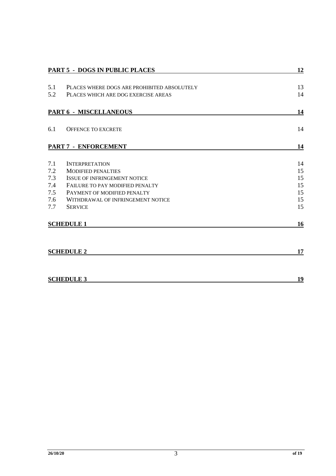|                      | <b>PART 5 - DOGS IN PUBLIC PLACES</b>       | 12 |
|----------------------|---------------------------------------------|----|
|                      |                                             |    |
| 5.1                  | PLACES WHERE DOGS ARE PROHIBITED ABSOLUTELY | 13 |
| 5.2                  | PLACES WHICH ARE DOG EXERCISE AREAS         | 14 |
|                      |                                             |    |
|                      | <b>PART 6 - MISCELLANEOUS</b>               | 14 |
|                      |                                             |    |
| 6.1                  | <b>OFFENCE TO EXCRETE</b>                   | 14 |
|                      |                                             |    |
| PART 7 - ENFORCEMENT |                                             | 14 |
|                      |                                             |    |
| 7.1                  | <b>INTERPRETATION</b>                       | 14 |
| 7.2                  | <b>MODIFIED PENALTIES</b>                   | 15 |
| 7.3                  | <b>ISSUE OF INFRINGEMENT NOTICE</b>         | 15 |
| 7.4                  | FAILURE TO PAY MODIFIED PENALTY             | 15 |
| 7.5                  | PAYMENT OF MODIFIED PENALTY                 | 15 |
| 7.6                  | WITHDRAWAL OF INFRINGEMENT NOTICE           | 15 |
| 7.7                  | <b>SERVICE</b>                              | 15 |
|                      |                                             |    |
| <b>SCHEDULE 1</b>    |                                             | 16 |
|                      |                                             |    |
|                      |                                             |    |
|                      | <b>SCHEDULE 2</b>                           | 17 |
|                      |                                             |    |
|                      |                                             |    |
| <b>SCHEDULE 3</b>    |                                             | 19 |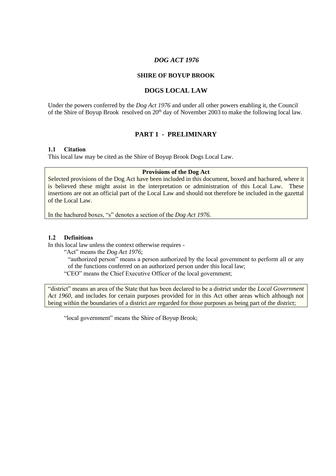#### *DOG ACT 1976*

#### **SHIRE OF BOYUP BROOK**

#### **DOGS LOCAL LAW**

Under the powers conferred by the *Dog Act 1976* and under all other powers enabling it, the Council of the Shire of Boyup Brook resolved on 20<sup>th</sup> day of November 2003 to make the following local law.

#### **PART 1 - PRELIMINARY**

#### **1.1 Citation**

This local law may be cited as the Shire of Boyup Brook Dogs Local Law.

#### **Provisions of the Dog Act**

Selected provisions of the Dog Act have been included in this document, boxed and hachured, where it is believed these might assist in the interpretation or administration of this Local Law. These insertions are not an official part of the Local Law and should not therefore be included in the gazettal of the Local Law.

In the hachured boxes, "s" denotes a section of the *Dog Act 1976.*

#### **1.2 Definitions**

In this local law unless the context otherwise requires -

"Act" means the *Dog Act 1976*;

"authorized person" means a person authorized by the local government to perform all or any of the functions conferred on an authorized person under this local law;

"CEO" means the Chief Executive Officer of the local government;

"district" means an area of the State that has been declared to be a district under the *Local Government Act 1960*, and includes for certain purposes provided for in this Act other areas which although not being within the boundaries of a district are regarded for those purposes as being part of the district;

"local government" means the Shire of Boyup Brook;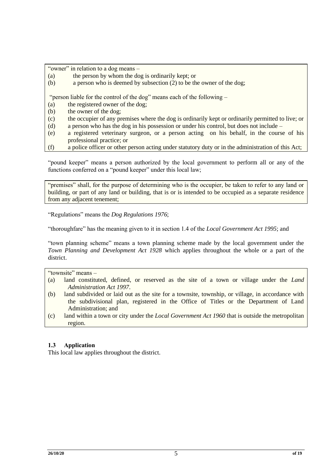"owner" in relation to a dog means –

- (a) the person by whom the dog is ordinarily kept; or
- (b) a person who is deemed by subsection (2) to be the owner of the dog;

"person liable for the control of the dog" means each of the following –

- (a) the registered owner of the dog;
- (b) the owner of the dog;
- (c) the occupier of any premises where the dog is ordinarily kept or ordinarily permitted to live; or
- (d) a person who has the dog in his possession or under his control, but does not include –
- (e) a registered veterinary surgeon, or a person acting on his behalf, in the course of his professional practice; or
- (f) a police officer or other person acting under statutory duty or in the administration of this Act;

"pound keeper" means a person authorized by the local government to perform all or any of the functions conferred on a "pound keeper" under this local law;

"premises" shall, for the purpose of determining who is the occupier, be taken to refer to any land or building, or part of any land or building, that is or is intended to be occupied as a separate residence from any adjacent tenement:

"Regulations" means the *Dog Regulations 1976*;

"thoroughfare" has the meaning given to it in section 1.4 of the *Local Government Act 1995*; and

"town planning scheme" means a town planning scheme made by the local government under the *Town Planning and Development Act 1928* which applies throughout the whole or a part of the district.

"townsite" means -

- (a) land constituted, defined, or reserved as the site of a town or village under the *Land Administration Act 1997*.
- (b) land subdivided or laid out as the site for a townsite, township, or village, in accordance with the subdivisional plan, registered in the Office of Titles or the Department of Land Administration; and
- (c) land within a town or city under the *Local Government Act 1960* that is outside the metropolitan region.

#### **1.3 Application**

This local law applies throughout the district.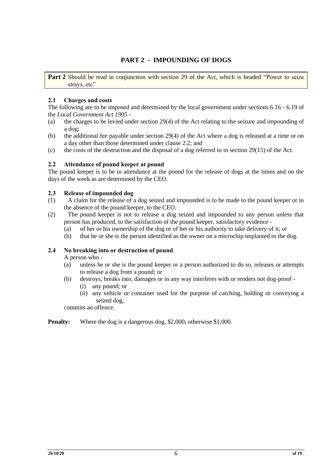## **PART 2 - IMPOUNDING OF DOGS**

Part 2 Should be read in conjunction with section 29 of the Act, which is headed "Power to seize strays, etc"

#### **2.1 Charges and costs**

The following are to be imposed and determined by the local government under sections 6.16 - 6.19 of the *Local Government Act 1995* -

- (a) the charges to be levied under section 29(4) of the Act relating to the seizure and impounding of a dog;
- (b) the additional fee payable under section 29(4) of the Act where a dog is released at a time or on a day other than those determined under clause 2.2; and
- (c) the costs of the destruction and the disposal of a dog referred to in section 29(15) of the Act.

#### **2.2 Attendance of pound keeper at pound**

The pound keeper is to be in attendance at the pound for the release of dogs at the times and on the days of the week as are determined by the CEO.

#### **2.3 Release of impounded dog**

- (1) A claim for the release of a dog seized and impounded is to be made to the pound keeper or in the absence of the pound keeper, to the CEO.
- (2) The pound keeper is not to release a dog seized and impounded to any person unless that person has produced, to the satisfaction of the pound keeper, satisfactory evidence -
	- (a) of her or his ownership of the dog or of her or his authority to take delivery of it; or
	- (b) that he or she is the person identified as the owner on a microchip implanted in the dog.

#### **2.4 No breaking into or destruction of pound**

A person who -

- (a) unless he or she is the pound keeper or a person authorized to do so, releases or attempts to release a dog from a pound; or
- (b) destroys, breaks into, damages or in any way interferes with or renders not dog-proof
	- (i) any pound; or
	- (ii) any vehicle or container used for the purpose of catching, holding or conveying a seized dog,

commits an offence.

**Penalty:** Where the dog is a dangerous dog, \$2,000; otherwise \$1,000.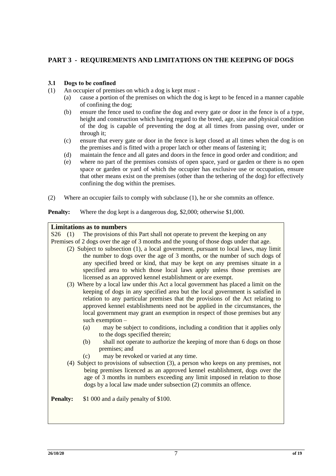## **PART 3 - REQUIREMENTS AND LIMITATIONS ON THE KEEPING OF DOGS**

#### **3.1 Dogs to be confined**

- (1) An occupier of premises on which a dog is kept must
	- (a) cause a portion of the premises on which the dog is kept to be fenced in a manner capable of confining the dog;
	- (b) ensure the fence used to confine the dog and every gate or door in the fence is of a type, height and construction which having regard to the breed, age, size and physical condition of the dog is capable of preventing the dog at all times from passing over, under or through it;
	- (c) ensure that every gate or door in the fence is kept closed at all times when the dog is on the premises and is fitted with a proper latch or other means of fastening it;
	- (d) maintain the fence and all gates and doors in the fence in good order and condition; and
	- (e) where no part of the premises consists of open space, yard or garden or there is no open space or garden or yard of which the occupier has exclusive use or occupation, ensure that other means exist on the premises (other than the tethering of the dog) for effectively confining the dog within the premises.
- (2) Where an occupier fails to comply with subclause (1), he or she commits an offence.

**Penalty:** Where the dog kept is a dangerous dog, \$2,000; otherwise \$1,000.

#### **Limitations as to numbers**

S26 (1) The provisions of this Part shall not operate to prevent the keeping on any Premises of 2 dogs over the age of 3 months and the young of those dogs under that age.

- (2) Subject to subsection (1), a local government, pursuant to local laws, may limit the number to dogs over the age of 3 months, or the number of such dogs of any specified breed or kind, that may be kept on any premises situate in a specified area to which those local laws apply unless those premises are licensed as an approved kennel establishment or are exempt.
- (3) Where by a local law under this Act a local government has placed a limit on the keeping of dogs in any specified area but the local government is satisfied in relation to any particular premises that the provisions of the Act relating to approved kennel establishments need not be applied in the circumstances, the local government may grant an exemption in respect of those premises but any such exemption –
	- (a) may be subject to conditions, including a condition that it applies only to the dogs specified therein;
	- (b) shall not operate to authorize the keeping of more than 6 dogs on those premises; and
	- (c) may be revoked or varied at any time.
- (4) Subject to provisions of subsection (3), a person who keeps on any premises, not being premises licenced as an approved kennel establishment, dogs over the age of 3 months in numbers exceeding any limit imposed in relation to those dogs by a local law made under subsection (2) commits an offence.

**Penalty:** \$1 000 and a daily penalty of \$100.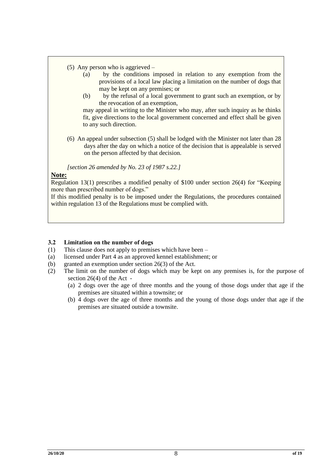- (5) Any person who is aggrieved
	- (a) by the conditions imposed in relation to any exemption from the provisions of a local law placing a limitation on the number of dogs that may be kept on any premises; or
	- (b) by the refusal of a local government to grant such an exemption, or by the revocation of an exemption,

may appeal in writing to the Minister who may, after such inquiry as he thinks fit, give directions to the local government concerned and effect shall be given to any such direction.

(6) An appeal under subsection (5) shall be lodged with the Minister not later than 28 days after the day on which a notice of the decision that is appealable is served on the person affected by that decision.

*[section 26 amended by No. 23 of 1987 s.22.]*

#### **Note:**

Regulation 13(1) prescribes a modified penalty of \$100 under section 26(4) for "Keeping more than prescribed number of dogs."

If this modified penalty is to be imposed under the Regulations, the procedures contained within regulation 13 of the Regulations must be complied with.

#### **3.2 Limitation on the number of dogs**

- (1) This clause does not apply to premises which have been –
- (a) licensed under Part 4 as an approved kennel establishment; or
- (b) granted an exemption under section 26(3) of the Act.
- (2) The limit on the number of dogs which may be kept on any premises is, for the purpose of section 26(4) of the Act -
	- (a) 2 dogs over the age of three months and the young of those dogs under that age if the premises are situated within a townsite; or
	- (b) 4 dogs over the age of three months and the young of those dogs under that age if the premises are situated outside a townsite.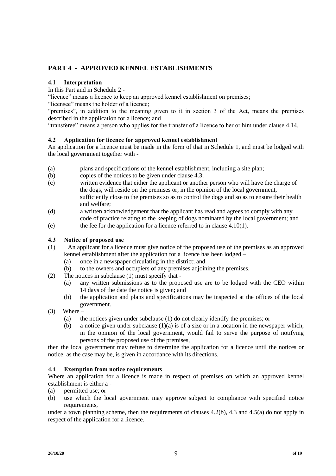# **PART 4 - APPROVED KENNEL ESTABLISHMENTS**

#### **4.1 Interpretation**

In this Part and in Schedule 2 -

"licence" means a licence to keep an approved kennel establishment on premises;

"licensee" means the holder of a licence;

"premises", in addition to the meaning given to it in section 3 of the Act, means the premises described in the application for a licence; and

"transferee" means a person who applies for the transfer of a licence to her or him under clause 4.14.

#### **4.2 Application for licence for approved kennel establishment**

An application for a licence must be made in the form of that in Schedule 1, and must be lodged with the local government together with -

- (a) plans and specifications of the kennel establishment, including a site plan;
- (b) copies of the notices to be given under clause 4.3;
- (c) written evidence that either the applicant or another person who will have the charge of the dogs, will reside on the premises or, in the opinion of the local government, sufficiently close to the premises so as to control the dogs and so as to ensure their health and welfare;
- (d) a written acknowledgement that the applicant has read and agrees to comply with any code of practice relating to the keeping of dogs nominated by the local government; and
- (e) the fee for the application for a licence referred to in clause 4.10(1).

#### **4.3 Notice of proposed use**

- (1) An applicant for a licence must give notice of the proposed use of the premises as an approved kennel establishment after the application for a licence has been lodged –
	- (a) once in a newspaper circulating in the district; and
	- (b) to the owners and occupiers of any premises adjoining the premises.
- (2) The notices in subclause (1) must specify that
	- (a) any written submissions as to the proposed use are to be lodged with the CEO within 14 days of the date the notice is given; and
	- (b) the application and plans and specifications may be inspected at the offices of the local government.
- $(3)$  Where
	- (a) the notices given under subclause (1) do not clearly identify the premises; or
	- (b) a notice given under subclause  $(1)(a)$  is of a size or in a location in the newspaper which, in the opinion of the local government, would fail to serve the purpose of notifying persons of the proposed use of the premises,

then the local government may refuse to determine the application for a licence until the notices or notice, as the case may be, is given in accordance with its directions.

#### **4.4 Exemption from notice requirements**

Where an application for a licence is made in respect of premises on which an approved kennel establishment is either a -

- (a) permitted use; or
- (b) use which the local government may approve subject to compliance with specified notice requirements,

under a town planning scheme, then the requirements of clauses 4.2(b), 4.3 and 4.5(a) do not apply in respect of the application for a licence.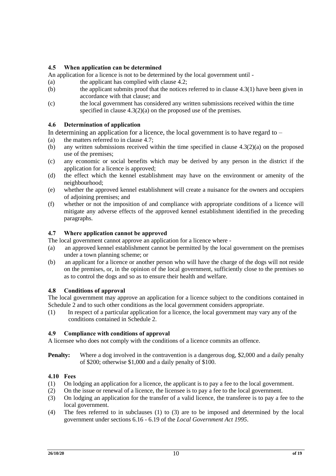### **4.5 When application can be determined**

An application for a licence is not to be determined by the local government until -

- (a) the applicant has complied with clause 4.2;
- (b) the applicant submits proof that the notices referred to in clause 4.3(1) have been given in accordance with that clause; and
- (c) the local government has considered any written submissions received within the time specified in clause 4.3(2)(a) on the proposed use of the premises.

#### **4.6 Determination of application**

In determining an application for a licence, the local government is to have regard to  $-$ 

- (a) the matters referred to in clause 4.7;
- (b) any written submissions received within the time specified in clause  $4.3(2)(a)$  on the proposed use of the premises;
- (c) any economic or social benefits which may be derived by any person in the district if the application for a licence is approved;
- (d) the effect which the kennel establishment may have on the environment or amenity of the neighbourhood;
- (e) whether the approved kennel establishment will create a nuisance for the owners and occupiers of adjoining premises; and
- (f) whether or not the imposition of and compliance with appropriate conditions of a licence will mitigate any adverse effects of the approved kennel establishment identified in the preceding paragraphs.

#### **4.7 Where application cannot be approved**

The local government cannot approve an application for a licence where -

- (a) an approved kennel establishment cannot be permitted by the local government on the premises under a town planning scheme; or
- (b) an applicant for a licence or another person who will have the charge of the dogs will not reside on the premises, or, in the opinion of the local government, sufficiently close to the premises so as to control the dogs and so as to ensure their health and welfare.

#### **4.8 Conditions of approval**

The local government may approve an application for a licence subject to the conditions contained in Schedule 2 and to such other conditions as the local government considers appropriate.

(1) In respect of a particular application for a licence, the local government may vary any of the conditions contained in Schedule 2.

#### **4.9 Compliance with conditions of approval**

A licensee who does not comply with the conditions of a licence commits an offence.

**Penalty:** Where a dog involved in the contravention is a dangerous dog, \$2,000 and a daily penalty of \$200; otherwise \$1,000 and a daily penalty of \$100.

#### **4.10 Fees**

- (1) On lodging an application for a licence, the applicant is to pay a fee to the local government.
- (2) On the issue or renewal of a licence, the licensee is to pay a fee to the local government.
- (3) On lodging an application for the transfer of a valid licence, the transferee is to pay a fee to the local government.
- (4) The fees referred to in subclauses (1) to (3) are to be imposed and determined by the local government under sections 6.16 - 6.19 of the *Local Government Act 1995*.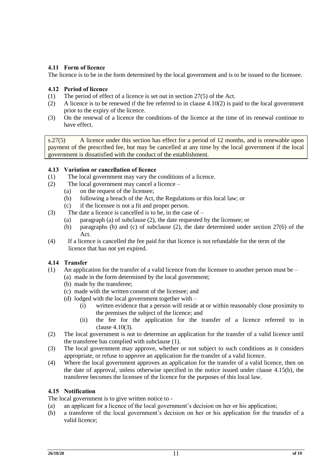### **4.11 Form of licence**

The licence is to be in the form determined by the local government and is to be issued to the licensee.

#### **4.12 Period of licence**

- (1) The period of effect of a licence is set out in section 27(5) of the Act.
- (2) A licence is to be renewed if the fee referred to in clause  $4.10(2)$  is paid to the local government prior to the expiry of the licence.
- (3) On the renewal of a licence the conditions of the licence at the time of its renewal continue to have effect.

s.27(5) A licence under this section has effect for a period of 12 months, and is renewable upon payment of the prescribed fee, but may be cancelled at any time by the local government if the local government is dissatisfied with the conduct of the establishment.

#### **4.13 Variation or cancellation of licence**

- (1) The local government may vary the conditions of a licence.
- (2) The local government may cancel a licence
	- (a) on the request of the licensee;
	- (b) following a breach of the Act, the Regulations or this local law; or
	- (c) if the licensee is not a fit and proper person.
- (3) The date a licence is cancelled is to be, in the case of
	- (a) paragraph (a) of subclause (2), the date requested by the licensee; or
	- (b) paragraphs (b) and (c) of subclause (2), the date determined under section 27(6) of the Act.
- (4) If a licence is cancelled the fee paid for that licence is not refundable for the term of the licence that has not yet expired.

#### **4.14 Transfer**

- (1) An application for the transfer of a valid licence from the licensee to another person must be  $-$ 
	- (a) made in the form determined by the local government;
	- (b) made by the transferee;
	- (c) made with the written consent of the licensee; and
	- (d) lodged with the local government together with
		- (i) written evidence that a person will reside at or within reasonably close proximity to the premises the subject of the licence; and
		- (ii) the fee for the application for the transfer of a licence referred to in clause 4.10(3).
- (2) The local government is not to determine an application for the transfer of a valid licence until the transferee has complied with subclause (1).
- (3) The local government may approve, whether or not subject to such conditions as it considers appropriate, or refuse to approve an application for the transfer of a valid licence.
- (4) Where the local government approves an application for the transfer of a valid licence, then on the date of approval, unless otherwise specified in the notice issued under clause 4.15(b), the transferee becomes the licensee of the licence for the purposes of this local law.

#### **4.15 Notification**

The local government is to give written notice to -

- (a) an applicant for a licence of the local government's decision on her or his application;
- (b) a transferee of the local government's decision on her or his application for the transfer of a valid licence;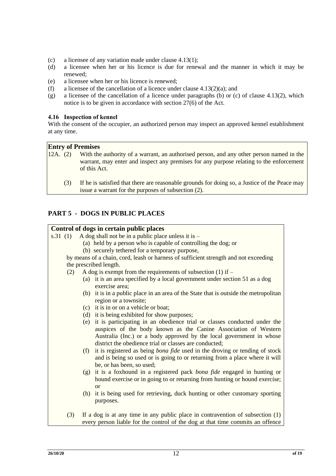- (c) a licensee of any variation made under clause 4.13(1);
- (d) a licensee when her or his licence is due for renewal and the manner in which it may be renewed;
- (e) a licensee when her or his licence is renewed;
- (f) a licensee of the cancellation of a licence under clause  $4.13(2)(a)$ ; and
- (g) a licensee of the cancellation of a licence under paragraphs (b) or (c) of clause 4.13(2), which notice is to be given in accordance with section 27(6) of the Act.

#### **4.16 Inspection of kennel**

With the consent of the occupier, an authorized person may inspect an approved kennel establishment at any time.

#### **Entry of Premises**

- 12A. (2) With the authority of a warrant, an authorised person, and any other person named in the warrant, may enter and inspect any premises for any purpose relating to the enforcement of this Act.
	- (3) If he is satisfied that there are reasonable grounds for doing so, a Justice of the Peace may issue a warrant for the purposes of subsection (2).

#### **PART 5 - DOGS IN PUBLIC PLACES**

#### **Control of dogs in certain public places**

s.31 (1) A dog shall not be in a public place unless it is  $-$ 

- (a) held by a person who is capable of controlling the dog; or
- (b) securely tethered for a temporary purpose,

 by means of a chain, cord, leash or harness of sufficient strength and not exceeding the prescribed length.

- (2) A dog is exempt from the requirements of subsection (1) if  $-$ 
	- (a) it is an area specified by a local government under section 51 as a dog exercise area;
	- (b) it is in a public place in an area of the State that is outside the metropolitan region or a townsite;
	- (c) it is in or on a vehicle or boat;
	- (d) it is being exhibited for show purposes;
	- (e) it is participating in an obedience trial or classes conducted under the auspices of the body known as the Canine Association of Western Australia (Inc.) or a body approved by the local government in whose district the obedience trial or classes are conducted;
	- (f) it is registered as being *bona fide* used in the droving or tending of stock and is being so used or is going to or returning from a place where it will be, or has been, so used;
	- (g) it is a foxhound in a registered pack *bona fide* engaged in hunting or hound exercise or in going to or returning from hunting or hound exercise; or
	- (h) it is being used for retrieving, duck hunting or other customary sporting purposes.
- (3) If a dog is at any time in any public place in contravention of subsection (1) every person liable for the control of the dog at that time commits an offence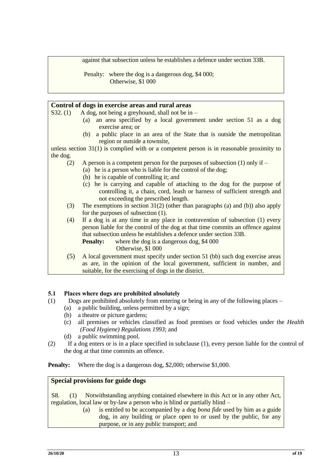against that subsection unless he establishes a defence under section 33B.

Penalty: where the dog is a dangerous dog, \$4,000; Otherwise, \$1 000

|          | Control of dogs in exercise areas and rural areas                                                                                                                                               |  |  |  |
|----------|-------------------------------------------------------------------------------------------------------------------------------------------------------------------------------------------------|--|--|--|
| S32. (1) | A dog, not being a greyhound, shall not be in $-$                                                                                                                                               |  |  |  |
|          | an area specified by a local government under section 51 as a dog<br>(a)<br>exercise area; or                                                                                                   |  |  |  |
|          | a public place in an area of the State that is outside the metropolitan<br>(b)<br>region or outside a townsite,                                                                                 |  |  |  |
|          | unless section $31(1)$ is complied with or a competent person is in reasonable proximity to                                                                                                     |  |  |  |
| the dog. |                                                                                                                                                                                                 |  |  |  |
| (2)      | A person is a competent person for the purposes of subsection $(1)$ only if –                                                                                                                   |  |  |  |
|          | (a) he is a person who is liable for the control of the dog;                                                                                                                                    |  |  |  |
|          | (b) he is capable of controlling it; and                                                                                                                                                        |  |  |  |
|          | (c) he is carrying and capable of attaching to the dog for the purpose of<br>controlling it, a chain, cord, leash or harness of sufficient strength and<br>not exceeding the prescribed length. |  |  |  |

- (3) The exemptions in section  $31(2)$  (other than paragraphs (a) and (b)) also apply for the purposes of subsection (1).
- (4) If a dog is at any time in any place in contravention of subsection (1) every person liable for the control of the dog at that time commits an offence against that subsection unless he establishes a defence under section 33B.

**Penalty:** where the dog is a dangerous dog, \$4 000

Otherwise, \$1 000

(5) A local government must specify under section 51 (bb) such dog exercise areas as are, in the opinion of the local government, sufficient in number, and suitable, for the exercising of dogs in the district.

## **5.1 Places where dogs are prohibited absolutely**

- (1) Dogs are prohibited absolutely from entering or being in any of the following places
	- (a) a public building, unless permitted by a sign;
	- (b) a theatre or picture gardens;
	- (c) all premises or vehicles classified as food premises or food vehicles under the *Health (Food Hygiene) Regulations 1993*; and
	- (d) a public swimming pool.
- (2) If a dog enters or is in a place specified in subclause (1), every person liable for the control of the dog at that time commits an offence.

**Penalty:** Where the dog is a dangerous dog, \$2,000; otherwise \$1,000.

#### **Special provisions for guide dogs**

S8. (1) Notwithstanding anything contained elsewhere in this Act or in any other Act, regulation, local law or by-law a person who is blind or partially blind –

(a) is entitled to be accompanied by a dog *bona fide* used by him as a guide dog, in any building or place open to or used by the public, for any purpose, or in any public transport; and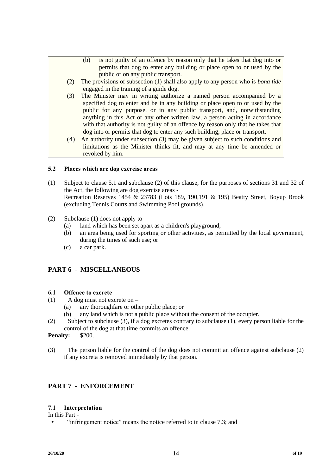- (b) is not guilty of an offence by reason only that he takes that dog into or permits that dog to enter any building or place open to or used by the public or on any public transport.
- (2) The provisions of subsection (1) shall also apply to any person who is *bona fide* engaged in the training of a guide dog.
- (3) The Minister may in writing authorize a named person accompanied by a specified dog to enter and be in any building or place open to or used by the public for any purpose, or in any public transport, and, notwithstanding anything in this Act or any other written law, a person acting in accordance with that authority is not guilty of an offence by reason only that he takes that dog into or permits that dog to enter any such building, place or transport.
- (4) An authority under subsection (3) may be given subject to such conditions and limitations as the Minister thinks fit, and may at any time be amended or revoked by him.

#### **5.2 Places which are dog exercise areas**

- (1) Subject to clause 5.1 and subclause (2) of this clause, for the purposes of sections 31 and 32 of the Act, the following are dog exercise areas - Recreation Reserves 1454 & 23783 (Lots 189, 190,191 & 195) Beatty Street, Boyup Brook (excluding Tennis Courts and Swimming Pool grounds).
- (2) Subclause (1) does not apply to  $-$ 
	- (a) land which has been set apart as a children's playground;
	- (b) an area being used for sporting or other activities, as permitted by the local government, during the times of such use; or
	- (c) a car park.

## **PART 6 - MISCELLANEOUS**

#### **6.1 Offence to excrete**

- (1) A dog must not excrete on
	- (a) any thoroughfare or other public place; or
	- (b) any land which is not a public place without the consent of the occupier.
- (2) Subject to subclause (3), if a dog excretes contrary to subclause (1), every person liable for the control of the dog at that time commits an offence.

#### **Penalty:** \$200.

(3) The person liable for the control of the dog does not commit an offence against subclause (2) if any excreta is removed immediately by that person.

## **PART 7 - ENFORCEMENT**

#### **7.1 Interpretation**

#### In this Part -

"infringement notice" means the notice referred to in clause 7.3; and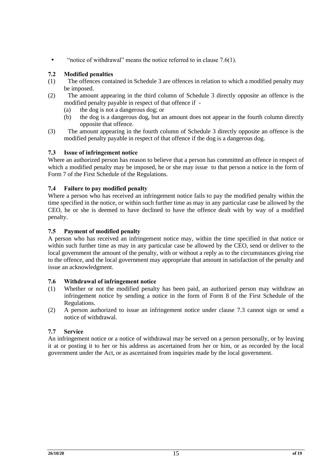• "notice of withdrawal" means the notice referred to in clause 7.6(1).

#### **7.2 Modified penalties**

- (1) The offences contained in Schedule 3 are offences in relation to which a modified penalty may be imposed.
- (2) The amount appearing in the third column of Schedule 3 directly opposite an offence is the modified penalty payable in respect of that offence if -
	- (a) the dog is not a dangerous dog; or
	- (b) the dog is a dangerous dog, but an amount does not appear in the fourth column directly opposite that offence.
- (3) The amount appearing in the fourth column of Schedule 3 directly opposite an offence is the modified penalty payable in respect of that offence if the dog is a dangerous dog.

#### **7.3 Issue of infringement notice**

Where an authorized person has reason to believe that a person has committed an offence in respect of which a modified penalty may be imposed, he or she may issue to that person a notice in the form of Form 7 of the First Schedule of the Regulations.

#### **7.4 Failure to pay modified penalty**

Where a person who has received an infringement notice fails to pay the modified penalty within the time specified in the notice, or within such further time as may in any particular case be allowed by the CEO, he or she is deemed to have declined to have the offence dealt with by way of a modified penalty.

#### **7.5 Payment of modified penalty**

A person who has received an infringement notice may, within the time specified in that notice or within such further time as may in any particular case be allowed by the CEO, send or deliver to the local government the amount of the penalty, with or without a reply as to the circumstances giving rise to the offence, and the local government may appropriate that amount in satisfaction of the penalty and issue an acknowledgment.

#### **7.6 Withdrawal of infringement notice**

- (1) Whether or not the modified penalty has been paid, an authorized person may withdraw an infringement notice by sending a notice in the form of Form 8 of the First Schedule of the Regulations.
- (2) A person authorized to issue an infringement notice under clause 7.3 cannot sign or send a notice of withdrawal.

#### **7.7 Service**

An infringement notice or a notice of withdrawal may be served on a person personally, or by leaving it at or posting it to her or his address as ascertained from her or him, or as recorded by the local government under the Act, or as ascertained from inquiries made by the local government.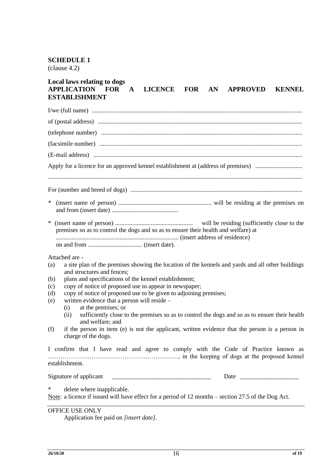## **SCHEDULE 1**

(clause 4.2)

## **Local laws relating to dogs LICENCE FOR AN APPROVED KENNEL ESTABLISHMENT**

| Apply for a licence for an approved kennel establishment at (address of premises)                                                                                                                                                                       |  |  |  |  |  |
|---------------------------------------------------------------------------------------------------------------------------------------------------------------------------------------------------------------------------------------------------------|--|--|--|--|--|
|                                                                                                                                                                                                                                                         |  |  |  |  |  |
|                                                                                                                                                                                                                                                         |  |  |  |  |  |
| $\ast$                                                                                                                                                                                                                                                  |  |  |  |  |  |
| $\ast$<br>premises so as to control the dogs and so as to ensure their health and welfare) at                                                                                                                                                           |  |  |  |  |  |
| Attached are -                                                                                                                                                                                                                                          |  |  |  |  |  |
| a site plan of the premises showing the location of the kennels and yards and all other buildings<br>(a)<br>and structures and fences;                                                                                                                  |  |  |  |  |  |
| plans and specifications of the kennel establishment;<br>(b)                                                                                                                                                                                            |  |  |  |  |  |
| copy of notice of proposed use to appear in newspaper;<br>(c)                                                                                                                                                                                           |  |  |  |  |  |
| copy of notice of proposed use to be given to adjoining premises;<br>(d)<br>written evidence that a person will reside -<br>(e)                                                                                                                         |  |  |  |  |  |
| at the premises; or<br>(i)                                                                                                                                                                                                                              |  |  |  |  |  |
| sufficiently close to the premises so as to control the dogs and so as to ensure their health<br>(ii)<br>and welfare; and                                                                                                                               |  |  |  |  |  |
| if the person in item (e) is not the applicant, written evidence that the person is a person in<br>(f)<br>charge of the dogs.                                                                                                                           |  |  |  |  |  |
| I confirm that I have read and agree to comply with the Code of Practice known as                                                                                                                                                                       |  |  |  |  |  |
| establishment.                                                                                                                                                                                                                                          |  |  |  |  |  |
| Signature of applicant<br>Date and the same state of the state of the state of the state of the state of the state of the state of the state of the state of the state of the state of the state of the state of the state of the state of the state of |  |  |  |  |  |
| ∗<br>delete where inapplicable.                                                                                                                                                                                                                         |  |  |  |  |  |
| Note: a licence if issued will have effect for a period of 12 months – section 27.5 of the Dog Act.                                                                                                                                                     |  |  |  |  |  |
| OFFICE USE ONLY                                                                                                                                                                                                                                         |  |  |  |  |  |

Application fee paid on *[insert date]*.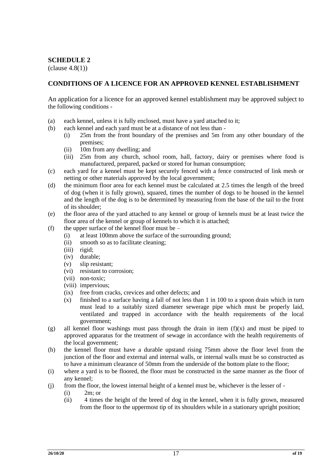## **SCHEDULE 2**

 $\text{(clause } 4.8(1)$ 

#### **CONDITIONS OF A LICENCE FOR AN APPROVED KENNEL ESTABLISHMENT**

An application for a licence for an approved kennel establishment may be approved subject to the following conditions -

- (a) each kennel, unless it is fully enclosed, must have a yard attached to it;
- (b) each kennel and each yard must be at a distance of not less than
	- (i) 25m from the front boundary of the premises and 5m from any other boundary of the premises;
	- (ii) 10m from any dwelling; and
	- (iii) 25m from any church, school room, hall, factory, dairy or premises where food is manufactured, prepared, packed or stored for human consumption;
- (c) each yard for a kennel must be kept securely fenced with a fence constructed of link mesh or netting or other materials approved by the local government;
- (d) the minimum floor area for each kennel must be calculated at 2.5 times the length of the breed of dog (when it is fully grown), squared, times the number of dogs to be housed in the kennel and the length of the dog is to be determined by measuring from the base of the tail to the front of its shoulder;
- (e) the floor area of the yard attached to any kennel or group of kennels must be at least twice the floor area of the kennel or group of kennels to which it is attached;
- (f) the upper surface of the kennel floor must be  $-$ 
	- (i) at least 100mm above the surface of the surrounding ground;
	- (ii) smooth so as to facilitate cleaning;
	- (iii) rigid;
	- (iv) durable;
	- (v) slip resistant;
	- (vi) resistant to corrosion;
	- (vii) non-toxic;
	- (viii) impervious;
	- (ix) free from cracks, crevices and other defects; and
	- (x) finished to a surface having a fall of not less than 1 in 100 to a spoon drain which in turn must lead to a suitably sized diameter sewerage pipe which must be properly laid, ventilated and trapped in accordance with the health requirements of the local government;
- (g) all kennel floor washings must pass through the drain in item  $(f)(x)$  and must be piped to approved apparatus for the treatment of sewage in accordance with the health requirements of the local government;
- (h) the kennel floor must have a durable upstand rising 75mm above the floor level from the junction of the floor and external and internal walls, or internal walls must be so constructed as to have a minimum clearance of 50mm from the underside of the bottom plate to the floor;
- (i) where a yard is to be floored, the floor must be constructed in the same manner as the floor of any kennel;
- (j) from the floor, the lowest internal height of a kennel must be, whichever is the lesser of (i) 2m; or
	- (ii) 4 times the height of the breed of dog in the kennel, when it is fully grown, measured from the floor to the uppermost tip of its shoulders while in a stationary upright position;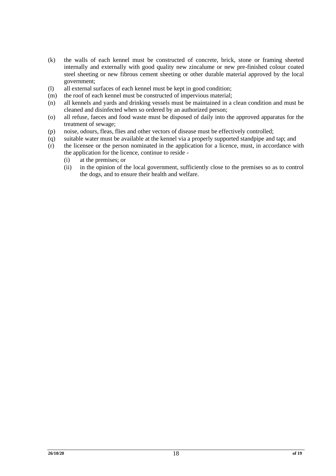- (k) the walls of each kennel must be constructed of concrete, brick, stone or framing sheeted internally and externally with good quality new zincalume or new pre-finished colour coated steel sheeting or new fibrous cement sheeting or other durable material approved by the local government;
- (l) all external surfaces of each kennel must be kept in good condition;
- (m) the roof of each kennel must be constructed of impervious material;
- (n) all kennels and yards and drinking vessels must be maintained in a clean condition and must be cleaned and disinfected when so ordered by an authorized person;
- (o) all refuse, faeces and food waste must be disposed of daily into the approved apparatus for the treatment of sewage;
- (p) noise, odours, fleas, flies and other vectors of disease must be effectively controlled;
- (q) suitable water must be available at the kennel via a properly supported standpipe and tap; and
- (r) the licensee or the person nominated in the application for a licence, must, in accordance with the application for the licence, continue to reside -
	- (i) at the premises; or
	- (ii) in the opinion of the local government, sufficiently close to the premises so as to control the dogs, and to ensure their health and welfare.